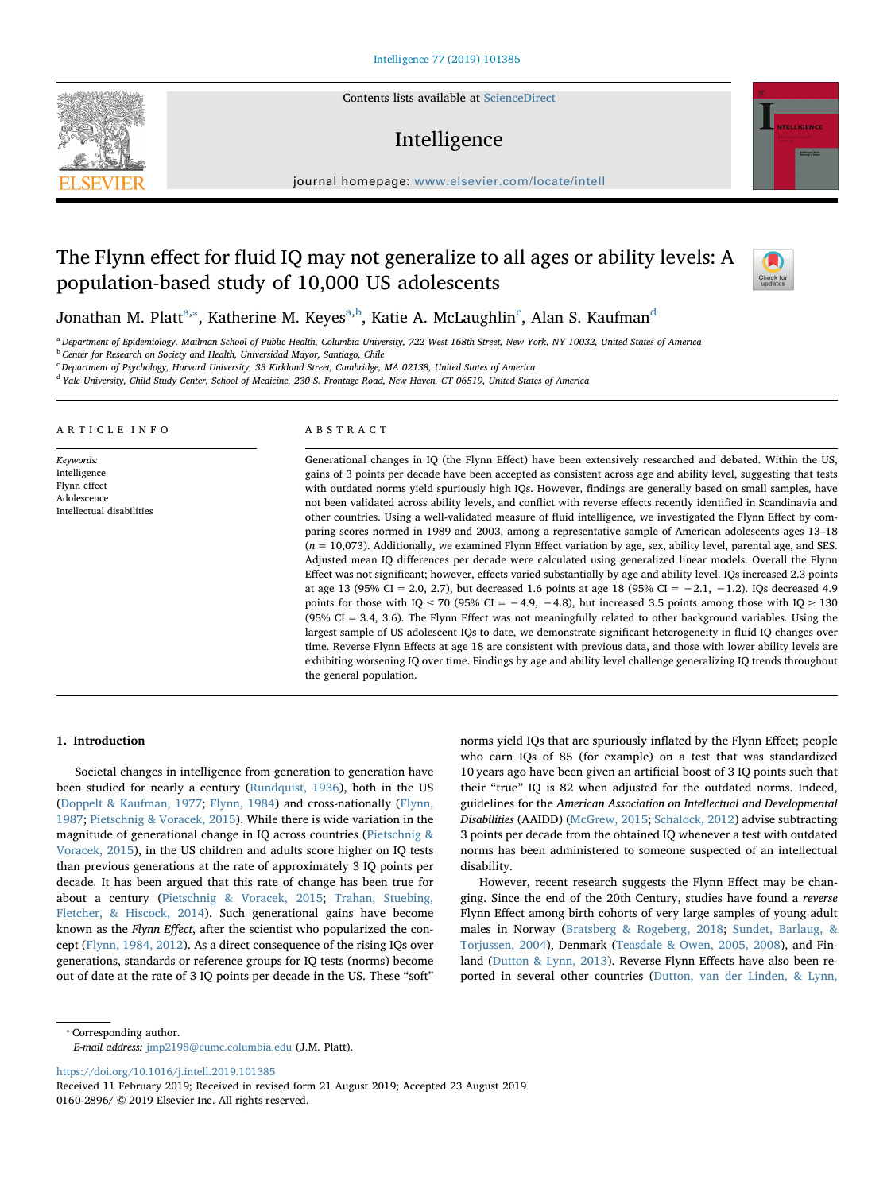Contents lists available at [ScienceDirect](http://www.sciencedirect.com/science/journal/01602896)

# Intelligence

journal homepage: [www.elsevier.com/locate/intell](https://www.elsevier.com/locate/intell)

# The Flynn effect for fluid IQ may not generalize to all ages or ability levels: A population-based study of 10,000 US adolescents



Jonathan M. Platt<sup>[a,](#page-0-0)</sup>\*, K[a](#page-0-0)therine M. Keyes<sup>a[,b](#page-0-2)</sup>, Katie A. M[c](#page-0-3)Laughlin<sup>c</sup>, Alan S. Kaufman<sup>[d](#page-0-4)</sup>

<span id="page-0-0"></span><sup>a</sup> Department of Epidemiology, Mailman School of Public Health, Columbia University, 722 West 168th Street, New York, NY 10032, United States of America

<span id="page-0-2"></span>**b** Center for Research on Society and Health, Universidad Mayor, Santiago, Chile

<span id="page-0-3"></span><sup>c</sup> Department of Psychology, Harvard University, 33 Kirkland Street, Cambridge, MA 02138, United States of America

<span id="page-0-4"></span><sup>d</sup> Yale University, Child Study Center, School of Medicine, 230 S. Frontage Road, New Haven, CT 06519, United States of America

#### ARTICLE INFO

Keywords: Intelligence Flynn effect Adolescence Intellectual disabilities

## ABSTRACT

Generational changes in IQ (the Flynn Effect) have been extensively researched and debated. Within the US, gains of 3 points per decade have been accepted as consistent across age and ability level, suggesting that tests with outdated norms yield spuriously high IQs. However, findings are generally based on small samples, have not been validated across ability levels, and conflict with reverse effects recently identified in Scandinavia and other countries. Using a well-validated measure of fluid intelligence, we investigated the Flynn Effect by comparing scores normed in 1989 and 2003, among a representative sample of American adolescents ages 13–18  $(n = 10,073)$ . Additionally, we examined Flynn Effect variation by age, sex, ability level, parental age, and SES. Adjusted mean IQ differences per decade were calculated using generalized linear models. Overall the Flynn Effect was not significant; however, effects varied substantially by age and ability level. IQs increased 2.3 points at age 13 (95% CI = 2.0, 2.7), but decreased 1.6 points at age 18 (95% CI =  $-2.1$ ,  $-1.2$ ). IQs decreased 4.9 points for those with IQ  $\leq$  70 (95% CI = −4.9, −4.8), but increased 3.5 points among those with IQ  $\geq$  130 (95% CI = 3.4, 3.6). The Flynn Effect was not meaningfully related to other background variables. Using the largest sample of US adolescent IQs to date, we demonstrate significant heterogeneity in fluid IQ changes over time. Reverse Flynn Effects at age 18 are consistent with previous data, and those with lower ability levels are exhibiting worsening IQ over time. Findings by age and ability level challenge generalizing IQ trends throughout the general population.

#### 1. Introduction

Societal changes in intelligence from generation to generation have been studied for nearly a century [\(Rundquist, 1936\)](#page-7-0), both in the US ([Doppelt & Kaufman, 1977;](#page-6-0) [Flynn, 1984\)](#page-6-1) and cross-nationally ([Flynn,](#page-6-2) [1987;](#page-6-2) [Pietschnig & Voracek, 2015\)](#page-6-3). While there is wide variation in the magnitude of generational change in IQ across countries [\(Pietschnig &](#page-6-3) [Voracek, 2015](#page-6-3)), in the US children and adults score higher on IQ tests than previous generations at the rate of approximately 3 IQ points per decade. It has been argued that this rate of change has been true for about a century ([Pietschnig & Voracek, 2015](#page-6-3); [Trahan, Stuebing,](#page-7-1) [Fletcher, & Hiscock, 2014](#page-7-1)). Such generational gains have become known as the Flynn Effect, after the scientist who popularized the concept [\(Flynn, 1984, 2012\)](#page-6-1). As a direct consequence of the rising IQs over generations, standards or reference groups for IQ tests (norms) become out of date at the rate of 3 IQ points per decade in the US. These "soft"

norms yield IQs that are spuriously inflated by the Flynn Effect; people who earn IQs of 85 (for example) on a test that was standardized 10 years ago have been given an artificial boost of 3 IQ points such that their "true" IQ is 82 when adjusted for the outdated norms. Indeed, guidelines for the American Association on Intellectual and Developmental Disabilities (AAIDD) ([McGrew, 2015](#page-6-4); [Schalock, 2012\)](#page-7-2) advise subtracting 3 points per decade from the obtained IQ whenever a test with outdated norms has been administered to someone suspected of an intellectual disability.

However, recent research suggests the Flynn Effect may be changing. Since the end of the 20th Century, studies have found a reverse Flynn Effect among birth cohorts of very large samples of young adult males in Norway ([Bratsberg & Rogeberg, 2018;](#page-6-5) [Sundet, Barlaug, &](#page-7-3) [Torjussen, 2004\)](#page-7-3), Denmark [\(Teasdale & Owen, 2005, 2008](#page-7-4)), and Finland ([Dutton & Lynn, 2013](#page-6-6)). Reverse Flynn Effects have also been reported in several other countries [\(Dutton, van der Linden, & Lynn,](#page-6-7)

<span id="page-0-1"></span>⁎ Corresponding author.

E-mail address: [jmp2198@cumc.columbia.edu](mailto:jmp2198@cumc.columbia.edu) (J.M. Platt).

<https://doi.org/10.1016/j.intell.2019.101385>

Received 11 February 2019; Received in revised form 21 August 2019; Accepted 23 August 2019 0160-2896/ © 2019 Elsevier Inc. All rights reserved.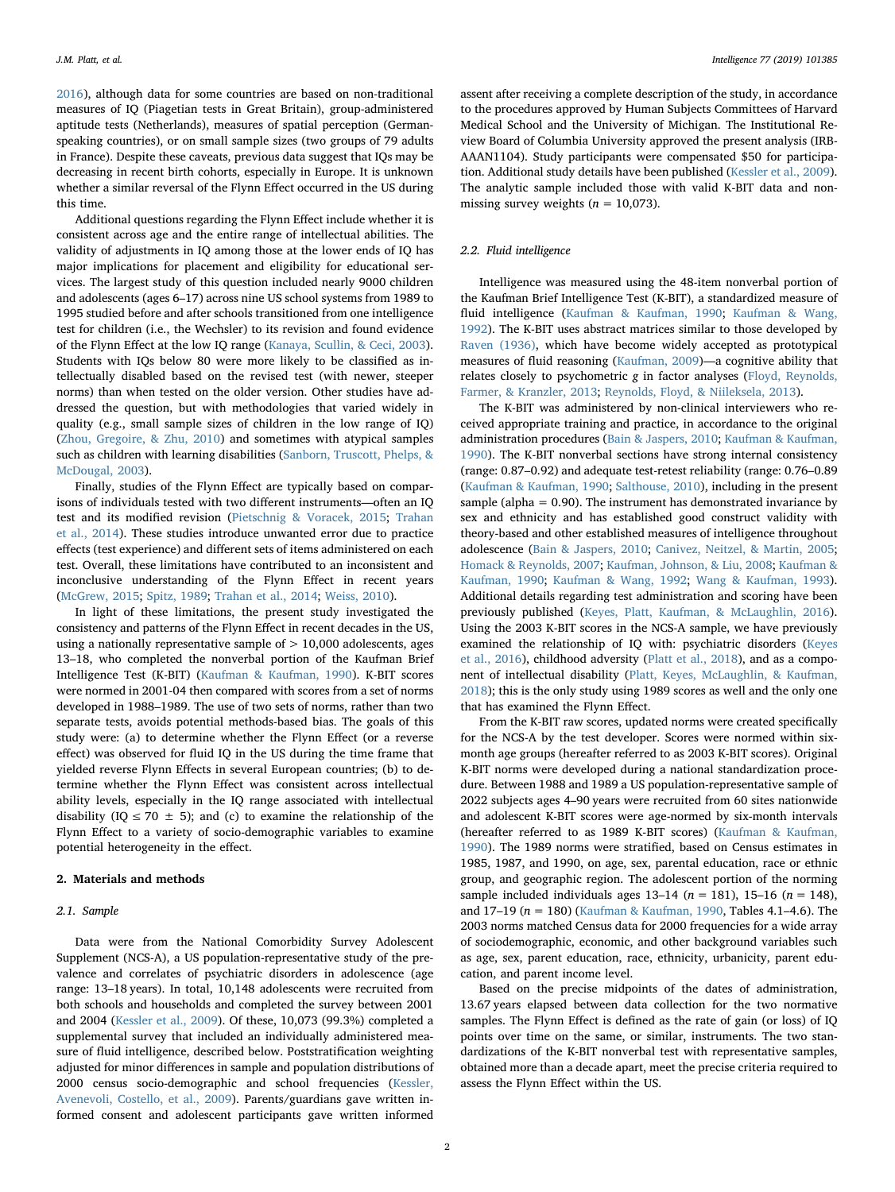[2016\)](#page-6-7), although data for some countries are based on non-traditional measures of IQ (Piagetian tests in Great Britain), group-administered aptitude tests (Netherlands), measures of spatial perception (Germanspeaking countries), or on small sample sizes (two groups of 79 adults in France). Despite these caveats, previous data suggest that IQs may be decreasing in recent birth cohorts, especially in Europe. It is unknown whether a similar reversal of the Flynn Effect occurred in the US during this time.

Additional questions regarding the Flynn Effect include whether it is consistent across age and the entire range of intellectual abilities. The validity of adjustments in IQ among those at the lower ends of IQ has major implications for placement and eligibility for educational services. The largest study of this question included nearly 9000 children and adolescents (ages 6–17) across nine US school systems from 1989 to 1995 studied before and after schools transitioned from one intelligence test for children (i.e., the Wechsler) to its revision and found evidence of the Flynn Effect at the low IQ range ([Kanaya, Scullin, & Ceci, 2003](#page-6-8)). Students with IQs below 80 were more likely to be classified as intellectually disabled based on the revised test (with newer, steeper norms) than when tested on the older version. Other studies have addressed the question, but with methodologies that varied widely in quality (e.g., small sample sizes of children in the low range of IQ) ([Zhou, Gregoire, & Zhu, 2010\)](#page-7-5) and sometimes with atypical samples such as children with learning disabilities ([Sanborn, Truscott, Phelps, &](#page-7-6) [McDougal, 2003](#page-7-6)).

Finally, studies of the Flynn Effect are typically based on comparisons of individuals tested with two different instruments—often an IQ test and its modified revision [\(Pietschnig & Voracek, 2015](#page-6-3); [Trahan](#page-7-1) [et al., 2014](#page-7-1)). These studies introduce unwanted error due to practice effects (test experience) and different sets of items administered on each test. Overall, these limitations have contributed to an inconsistent and inconclusive understanding of the Flynn Effect in recent years ([McGrew, 2015;](#page-6-4) [Spitz, 1989](#page-7-7); [Trahan et al., 2014](#page-7-1); [Weiss, 2010](#page-7-8)).

In light of these limitations, the present study investigated the consistency and patterns of the Flynn Effect in recent decades in the US, using a nationally representative sample of  $> 10,000$  adolescents, ages 13–18, who completed the nonverbal portion of the Kaufman Brief Intelligence Test (K-BIT) ([Kaufman & Kaufman, 1990](#page-6-9)). K-BIT scores were normed in 2001-04 then compared with scores from a set of norms developed in 1988–1989. The use of two sets of norms, rather than two separate tests, avoids potential methods-based bias. The goals of this study were: (a) to determine whether the Flynn Effect (or a reverse effect) was observed for fluid IQ in the US during the time frame that yielded reverse Flynn Effects in several European countries; (b) to determine whether the Flynn Effect was consistent across intellectual ability levels, especially in the IQ range associated with intellectual disability (IQ  $\leq$  70  $\pm$  5); and (c) to examine the relationship of the Flynn Effect to a variety of socio-demographic variables to examine potential heterogeneity in the effect.

# 2. Materials and methods

#### 2.1. Sample

Data were from the National Comorbidity Survey Adolescent Supplement (NCS-A), a US population-representative study of the prevalence and correlates of psychiatric disorders in adolescence (age range: 13–18 years). In total, 10,148 adolescents were recruited from both schools and households and completed the survey between 2001 and 2004 ([Kessler et al., 2009\)](#page-6-10). Of these, 10,073 (99.3%) completed a supplemental survey that included an individually administered measure of fluid intelligence, described below. Poststratification weighting adjusted for minor differences in sample and population distributions of 2000 census socio-demographic and school frequencies ([Kessler,](#page-6-10) [Avenevoli, Costello, et al., 2009](#page-6-10)). Parents/guardians gave written informed consent and adolescent participants gave written informed

assent after receiving a complete description of the study, in accordance to the procedures approved by Human Subjects Committees of Harvard Medical School and the University of Michigan. The Institutional Review Board of Columbia University approved the present analysis (IRB-AAAN1104). Study participants were compensated \$50 for participation. Additional study details have been published [\(Kessler et al., 2009](#page-6-11)). The analytic sample included those with valid K-BIT data and nonmissing survey weights ( $n = 10,073$ ).

## 2.2. Fluid intelligence

Intelligence was measured using the 48-item nonverbal portion of the Kaufman Brief Intelligence Test (K-BIT), a standardized measure of fluid intelligence ([Kaufman & Kaufman, 1990;](#page-6-9) [Kaufman & Wang,](#page-6-12) [1992\)](#page-6-12). The K-BIT uses abstract matrices similar to those developed by [Raven \(1936\),](#page-6-13) which have become widely accepted as prototypical measures of fluid reasoning ([Kaufman, 2009](#page-6-14))—a cognitive ability that relates closely to psychometric g in factor analyses ([Floyd, Reynolds,](#page-6-15) [Farmer, & Kranzler, 2013;](#page-6-15) [Reynolds, Floyd, & Niileksela, 2013\)](#page-6-16).

The K-BIT was administered by non-clinical interviewers who received appropriate training and practice, in accordance to the original administration procedures [\(Bain & Jaspers, 2010;](#page-6-17) [Kaufman & Kaufman,](#page-6-9) [1990\)](#page-6-9). The K-BIT nonverbal sections have strong internal consistency (range: 0.87–0.92) and adequate test-retest reliability (range: 0.76–0.89 ([Kaufman & Kaufman, 1990](#page-6-9); [Salthouse, 2010](#page-7-9)), including in the present sample (alpha = 0.90). The instrument has demonstrated invariance by sex and ethnicity and has established good construct validity with theory-based and other established measures of intelligence throughout adolescence ([Bain & Jaspers, 2010](#page-6-17); Canivez, [Neitzel, & Martin, 2005](#page-6-18); [Homack & Reynolds, 2007;](#page-6-19) [Kaufman, Johnson, & Liu, 2008](#page-6-20); [Kaufman &](#page-6-9) [Kaufman, 1990](#page-6-9); [Kaufman & Wang, 1992](#page-6-12); [Wang & Kaufman, 1993](#page-7-10)). Additional details regarding test administration and scoring have been previously published [\(Keyes, Platt, Kaufman, & McLaughlin, 2016](#page-6-21)). Using the 2003 K-BIT scores in the NCS-A sample, we have previously examined the relationship of IQ with: psychiatric disorders [\(Keyes](#page-6-21) [et al., 2016](#page-6-21)), childhood adversity [\(Platt et al., 2018](#page-6-22)), and as a component of intellectual disability ([Platt, Keyes, McLaughlin, & Kaufman,](#page-6-23) [2018\)](#page-6-23); this is the only study using 1989 scores as well and the only one that has examined the Flynn Effect.

From the K-BIT raw scores, updated norms were created specifically for the NCS-A by the test developer. Scores were normed within sixmonth age groups (hereafter referred to as 2003 K-BIT scores). Original K-BIT norms were developed during a national standardization procedure. Between 1988 and 1989 a US population-representative sample of 2022 subjects ages 4–90 years were recruited from 60 sites nationwide and adolescent K-BIT scores were age-normed by six-month intervals (hereafter referred to as 1989 K-BIT scores) [\(Kaufman & Kaufman,](#page-6-9) [1990\)](#page-6-9). The 1989 norms were stratified, based on Census estimates in 1985, 1987, and 1990, on age, sex, parental education, race or ethnic group, and geographic region. The adolescent portion of the norming sample included individuals ages  $13-14$  ( $n = 181$ ),  $15-16$  ( $n = 148$ ), and 17-19 ( $n = 180$ ) ([Kaufman & Kaufman, 1990](#page-6-9), Tables 4.1-4.6). The 2003 norms matched Census data for 2000 frequencies for a wide array of sociodemographic, economic, and other background variables such as age, sex, parent education, race, ethnicity, urbanicity, parent education, and parent income level.

Based on the precise midpoints of the dates of administration, 13.67 years elapsed between data collection for the two normative samples. The Flynn Effect is defined as the rate of gain (or loss) of IQ points over time on the same, or similar, instruments. The two standardizations of the K-BIT nonverbal test with representative samples, obtained more than a decade apart, meet the precise criteria required to assess the Flynn Effect within the US.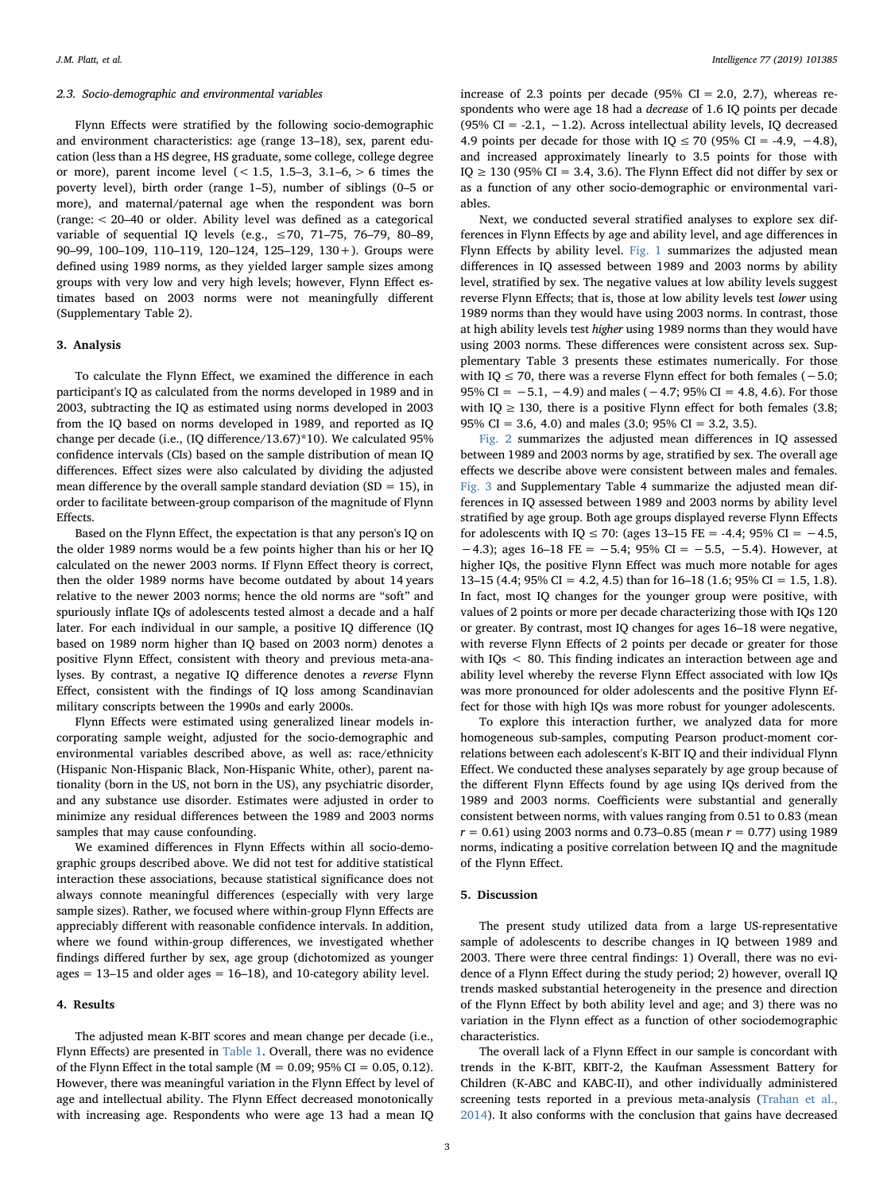#### 2.3. Socio-demographic and environmental variables

Flynn Effects were stratified by the following socio-demographic and environment characteristics: age (range 13–18), sex, parent education (less than a HS degree, HS graduate, some college, college degree or more), parent income level  $( $1.5, 1.5-3, 3.1-6, > 6$  times the$ poverty level), birth order (range 1–5), number of siblings (0–5 or more), and maternal/paternal age when the respondent was born (range: < 20–40 or older. Ability level was defined as a categorical variable of sequential IQ levels (e.g.,  $\leq$  70, 71-75, 76-79, 80-89, 90–99, 100–109, 110–119, 120–124, 125–129, 130+). Groups were defined using 1989 norms, as they yielded larger sample sizes among groups with very low and very high levels; however, Flynn Effect estimates based on 2003 norms were not meaningfully different (Supplementary Table 2).

## 3. Analysis

To calculate the Flynn Effect, we examined the difference in each participant's IQ as calculated from the norms developed in 1989 and in 2003, subtracting the IQ as estimated using norms developed in 2003 from the IQ based on norms developed in 1989, and reported as IQ change per decade (i.e., (IQ difference/13.67)\*10). We calculated 95% confidence intervals (CIs) based on the sample distribution of mean IQ differences. Effect sizes were also calculated by dividing the adjusted mean difference by the overall sample standard deviation ( $SD = 15$ ), in order to facilitate between-group comparison of the magnitude of Flynn Effects.

Based on the Flynn Effect, the expectation is that any person's IQ on the older 1989 norms would be a few points higher than his or her IQ calculated on the newer 2003 norms. If Flynn Effect theory is correct, then the older 1989 norms have become outdated by about 14 years relative to the newer 2003 norms; hence the old norms are "soft" and spuriously inflate IQs of adolescents tested almost a decade and a half later. For each individual in our sample, a positive IQ difference (IQ based on 1989 norm higher than IQ based on 2003 norm) denotes a positive Flynn Effect, consistent with theory and previous meta-analyses. By contrast, a negative IQ difference denotes a reverse Flynn Effect, consistent with the findings of IQ loss among Scandinavian military conscripts between the 1990s and early 2000s.

Flynn Effects were estimated using generalized linear models incorporating sample weight, adjusted for the socio-demographic and environmental variables described above, as well as: race/ethnicity (Hispanic Non-Hispanic Black, Non-Hispanic White, other), parent nationality (born in the US, not born in the US), any psychiatric disorder, and any substance use disorder. Estimates were adjusted in order to minimize any residual differences between the 1989 and 2003 norms samples that may cause confounding.

We examined differences in Flynn Effects within all socio-demographic groups described above. We did not test for additive statistical interaction these associations, because statistical significance does not always connote meaningful differences (especially with very large sample sizes). Rather, we focused where within-group Flynn Effects are appreciably different with reasonable confidence intervals. In addition, where we found within-group differences, we investigated whether findings differed further by sex, age group (dichotomized as younger ages  $= 13-15$  and older ages  $= 16-18$ ), and 10-category ability level.

### 4. Results

The adjusted mean K-BIT scores and mean change per decade (i.e., Flynn Effects) are presented in [Table 1.](#page-3-0) Overall, there was no evidence of the Flynn Effect in the total sample ( $M = 0.09$ ; 95% CI = 0.05, 0.12). However, there was meaningful variation in the Flynn Effect by level of age and intellectual ability. The Flynn Effect decreased monotonically with increasing age. Respondents who were age 13 had a mean IQ increase of 2.3 points per decade (95%  $CI = 2.0, 2.7$ ), whereas respondents who were age 18 had a decrease of 1.6 IQ points per decade (95% CI = -2.1, -1.2). Across intellectual ability levels, IQ decreased 4.9 points per decade for those with  $IQ \le 70$  (95%  $CI = -4.9, -4.8$ ), and increased approximately linearly to 3.5 points for those with IQ  $\geq$  130 (95% CI = 3.4, 3.6). The Flynn Effect did not differ by sex or as a function of any other socio-demographic or environmental variables.

Next, we conducted several stratified analyses to explore sex differences in Flynn Effects by age and ability level, and age differences in Flynn Effects by ability level. [Fig. 1](#page-4-0) summarizes the adjusted mean differences in IQ assessed between 1989 and 2003 norms by ability level, stratified by sex. The negative values at low ability levels suggest reverse Flynn Effects; that is, those at low ability levels test lower using 1989 norms than they would have using 2003 norms. In contrast, those at high ability levels test higher using 1989 norms than they would have using 2003 norms. These differences were consistent across sex. Supplementary Table 3 presents these estimates numerically. For those with IQ ≤ 70, there was a reverse Flynn effect for both females (−5.0; 95% CI =  $-5.1$ ,  $-4.9$ ) and males ( $-4.7$ ; 95% CI = 4.8, 4.6). For those with IQ  $\geq$  130, there is a positive Flynn effect for both females (3.8; 95% CI = 3.6, 4.0) and males (3.0; 95% CI = 3.2, 3.5).

[Fig. 2](#page-4-1) summarizes the adjusted mean differences in IQ assessed between 1989 and 2003 norms by age, stratified by sex. The overall age effects we describe above were consistent between males and females. [Fig. 3](#page-4-2) and Supplementary Table 4 summarize the adjusted mean differences in IQ assessed between 1989 and 2003 norms by ability level stratified by age group. Both age groups displayed reverse Flynn Effects for adolescents with IQ ≤ 70: (ages 13–15 FE = -4.4; 95% CI =  $-4.5$ , −4.3); ages 16–18 FE = −5.4; 95% CI = −5.5, −5.4). However, at higher IQs, the positive Flynn Effect was much more notable for ages 13–15 (4.4;  $95\%$  CI = 4.2, 4.5) than for 16–18 (1.6;  $95\%$  CI = 1.5, 1.8). In fact, most IQ changes for the younger group were positive, with values of 2 points or more per decade characterizing those with IQs 120 or greater. By contrast, most IQ changes for ages 16–18 were negative, with reverse Flynn Effects of 2 points per decade or greater for those with IQs < 80. This finding indicates an interaction between age and ability level whereby the reverse Flynn Effect associated with low IQs was more pronounced for older adolescents and the positive Flynn Effect for those with high IQs was more robust for younger adolescents.

To explore this interaction further, we analyzed data for more homogeneous sub-samples, computing Pearson product-moment correlations between each adolescent's K-BIT IQ and their individual Flynn Effect. We conducted these analyses separately by age group because of the different Flynn Effects found by age using IQs derived from the 1989 and 2003 norms. Coefficients were substantial and generally consistent between norms, with values ranging from 0.51 to 0.83 (mean  $r = 0.61$ ) using 2003 norms and 0.73–0.85 (mean  $r = 0.77$ ) using 1989 norms, indicating a positive correlation between IQ and the magnitude of the Flynn Effect.

# 5. Discussion

The present study utilized data from a large US-representative sample of adolescents to describe changes in IQ between 1989 and 2003. There were three central findings: 1) Overall, there was no evidence of a Flynn Effect during the study period; 2) however, overall IQ trends masked substantial heterogeneity in the presence and direction of the Flynn Effect by both ability level and age; and 3) there was no variation in the Flynn effect as a function of other sociodemographic characteristics.

The overall lack of a Flynn Effect in our sample is concordant with trends in the K-BIT, KBIT-2, the Kaufman Assessment Battery for Children (K-ABC and KABC-II), and other individually administered screening tests reported in a previous meta-analysis ([Trahan et al.,](#page-7-1) [2014\)](#page-7-1). It also conforms with the conclusion that gains have decreased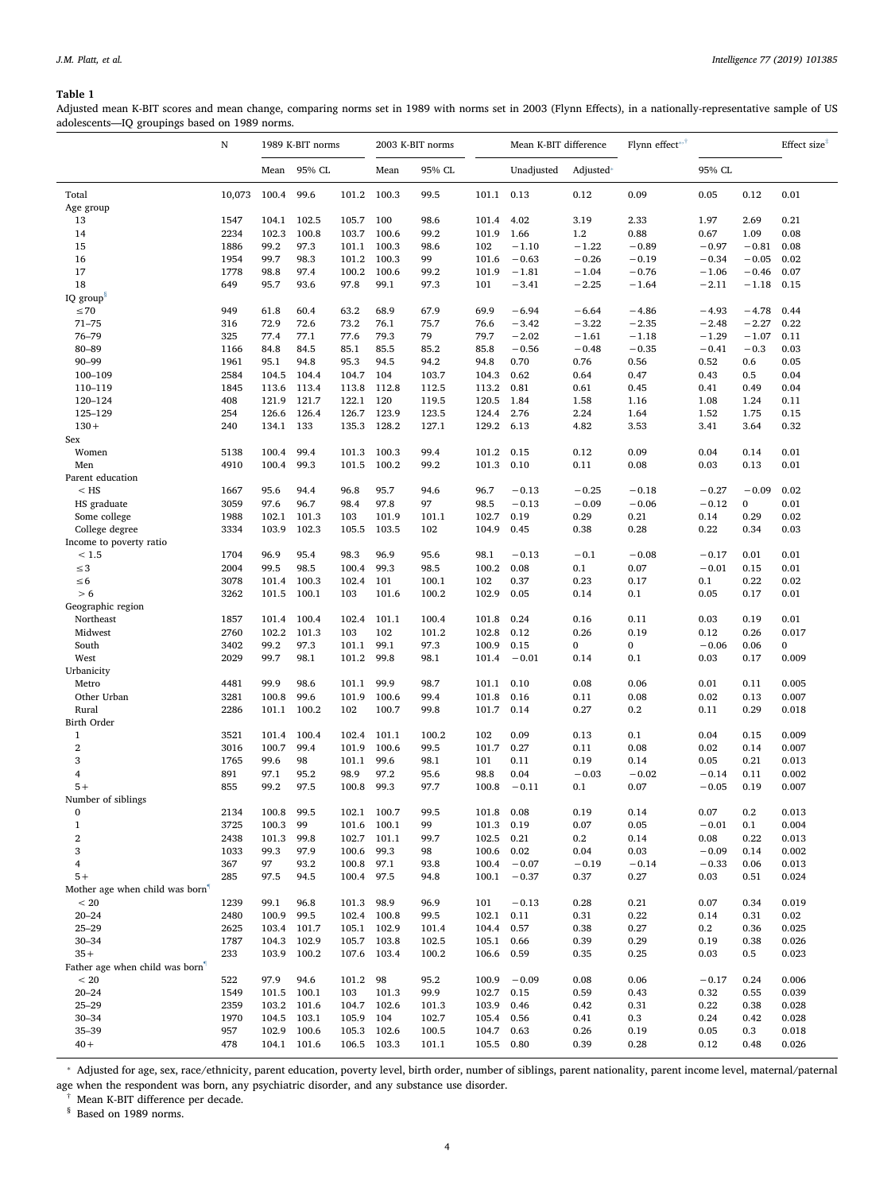# <span id="page-3-0"></span>Table 1

Adjusted mean K-BIT scores and mean change, comparing norms set in 1989 with norms set in 2003 (Flynn Effects), in a nationally-representative sample of US adolescents—IQ groupings based on 1989 norms.

|                                    | $\mathbf N$  | 1989 K-BIT norms |                     |               | 2003 K-BIT norms |                | Mean K-BIT difference |                 | Flynn effect <sup>*</sup> |         |                 | Effect size <sup>®</sup> |                |
|------------------------------------|--------------|------------------|---------------------|---------------|------------------|----------------|-----------------------|-----------------|---------------------------|---------|-----------------|--------------------------|----------------|
|                                    |              | Mean             | 95% CL              |               | Mean             | 95% CL         |                       | Unadjusted      | Adjusted*                 |         | 95% CL          |                          |                |
| Total                              | 10,073       | 100.4            | 99.6                | 101.2 100.3   |                  | 99.5           | 101.1                 | 0.13            | 0.12                      | 0.09    | 0.05            | 0.12                     | 0.01           |
| Age group                          |              |                  |                     |               |                  |                |                       |                 |                           |         |                 |                          |                |
| 13                                 | 1547         | 104.1            | 102.5               | 105.7         | 100              | 98.6           | 101.4                 | 4.02            | 3.19                      | 2.33    | 1.97            | 2.69                     | 0.21           |
| 14                                 | 2234         | 102.3            | 100.8               | 103.7         | 100.6            | 99.2           | 101.9                 | 1.66            | 1.2                       | 0.88    | 0.67            | 1.09                     | 0.08           |
| 15                                 | 1886         | 99.2             | 97.3                | 101.1         | 100.3            | 98.6           | 102                   | $-1.10$         | $-1.22$                   | $-0.89$ | $-0.97$         | $-0.81$                  | 0.08           |
| 16                                 | 1954         | 99.7             | 98.3                | 101.2         | 100.3            | 99             | 101.6                 | $-0.63$         | $-0.26$                   | $-0.19$ | $-0.34$         | $-0.05$                  | 0.02           |
| 17<br>18                           | 1778         | 98.8<br>95.7     | 97.4<br>93.6        | 100.2<br>97.8 | 100.6            | 99.2           | 101.9                 | $-1.81$         | $-1.04$                   | $-0.76$ | $-1.06$         | $-0.46$                  | 0.07           |
|                                    | 649          |                  |                     |               | 99.1             | 97.3           | 101                   | $-3.41$         | $-2.25$                   | $-1.64$ | $-2.11$         | $-1.18$                  | 0.15           |
| IQ group <sup>s</sup><br>$\leq 70$ | 949          | 61.8             | 60.4                | 63.2          | 68.9             | 67.9           | 69.9                  | $-6.94$         | $-6.64$                   | $-4.86$ | $-4.93$         | $-4.78$                  | 0.44           |
| $71 - 75$                          | 316          | 72.9             | 72.6                | 73.2          | 76.1             | 75.7           | 76.6                  | $-3.42$         | $-3.22$                   | $-2.35$ | $-2.48$         | $-2.27$                  | 0.22           |
| 76-79                              | 325          | 77.4             | 77.1                | 77.6          | 79.3             | 79             | 79.7                  | $-2.02$         | $-1.61$                   | $-1.18$ | $-1.29$         | $-1.07$                  | 0.11           |
| 80-89                              | 1166         | 84.8             | 84.5                | 85.1          | 85.5             | 85.2           | 85.8                  | $-0.56$         | $-0.48$                   | $-0.35$ | $-0.41$         | $-0.3$                   | 0.03           |
| $90 - 99$                          | 1961         | 95.1             | 94.8                | 95.3          | 94.5             | 94.2           | 94.8                  | 0.70            | 0.76                      | 0.56    | 0.52            | 0.6                      | 0.05           |
| 100-109                            | 2584         | 104.5            | 104.4               | 104.7         | 104              | 103.7          | 104.3                 | 0.62            | 0.64                      | 0.47    | 0.43            | 0.5                      | 0.04           |
| 110-119                            | 1845         | 113.6            | 113.4               | 113.8         | 112.8            | 112.5          | 113.2                 | 0.81            | 0.61                      | 0.45    | 0.41            | 0.49                     | 0.04           |
| 120-124                            | 408          | 121.9            | 121.7               | 122.1         | 120              | 119.5          | 120.5                 | 1.84            | 1.58                      | 1.16    | 1.08            | 1.24                     | 0.11           |
| 125-129                            | 254          | 126.6            | 126.4               | 126.7         | 123.9            | 123.5          | 124.4                 | 2.76            | 2.24                      | 1.64    | 1.52            | 1.75                     | 0.15           |
| $130 +$                            | 240          | 134.1            | 133                 | 135.3         | 128.2            | 127.1          | 129.2                 | 6.13            | 4.82                      | 3.53    | 3.41            | 3.64                     | 0.32           |
| Sex                                |              |                  |                     |               |                  |                |                       |                 |                           |         |                 |                          |                |
| Women                              | 5138         | 100.4            | 99.4                | 101.3         | 100.3            | 99.4           | 101.2                 | 0.15            | 0.12                      | 0.09    | 0.04            | 0.14                     | 0.01           |
| Men                                | 4910         | 100.4            | 99.3                | 101.5         | 100.2            | 99.2           | 101.3                 | 0.10            | 0.11                      | 0.08    | 0.03            | 0.13                     | 0.01           |
| Parent education                   |              |                  |                     |               |                  |                |                       |                 |                           |         |                 |                          |                |
| $<$ HS                             | 1667         | 95.6             | 94.4                | 96.8          | 95.7             | 94.6           | 96.7                  | $-0.13$         | $-0.25$                   | $-0.18$ | $-0.27$         | $-0.09$                  | 0.02           |
| HS graduate                        | 3059         | 97.6             | 96.7                | 98.4          | 97.8             | 97             | 98.5                  | $-0.13$         | $-0.09$                   | $-0.06$ | $-0.12$         | $\mathbf{0}$             | 0.01           |
| Some college                       | 1988         | 102.1            | 101.3               | 103           | 101.9            | 101.1          | 102.7                 | 0.19            | 0.29                      | 0.21    | 0.14            | 0.29                     | 0.02           |
| College degree                     | 3334         | 103.9            | 102.3               | 105.5         | 103.5            | 102            | 104.9                 | 0.45            | 0.38                      | 0.28    | 0.22            | 0.34                     | 0.03           |
| Income to poverty ratio            |              |                  |                     |               |                  |                |                       |                 |                           |         |                 |                          |                |
| < 1.5                              | 1704         | 96.9             | 95.4                | 98.3          | 96.9             | 95.6           | 98.1                  | $-0.13$         | $-0.1$                    | $-0.08$ | $-0.17$         | 0.01                     | 0.01           |
| $\leq$ 3                           | 2004         | 99.5             | 98.5                | 100.4         | 99.3             | 98.5           | 100.2                 | 0.08            | 0.1                       | 0.07    | $-0.01$         | 0.15                     | 0.01           |
| $\leq 6$                           | 3078         | 101.4            | 100.3               | 102.4         | 101              | 100.1          | 102                   | 0.37            | 0.23                      | 0.17    | 0.1             | 0.22                     | 0.02           |
| > 6                                | 3262         | 101.5            | 100.1               | 103           | 101.6            | 100.2          | 102.9                 | 0.05            | 0.14                      | 0.1     | 0.05            | 0.17                     | 0.01           |
| Geographic region                  |              |                  |                     |               |                  |                |                       |                 |                           |         |                 |                          |                |
| Northeast                          | 1857         | 101.4            | 100.4               | 102.4         | 101.1            | 100.4          | 101.8                 | 0.24            | 0.16                      | 0.11    | 0.03            | 0.19                     | 0.01           |
| Midwest                            | 2760         | 102.2            | 101.3               | 103           | 102              | 101.2          | 102.8                 | 0.12            | 0.26                      | 0.19    | 0.12            | 0.26                     | 0.017          |
| South                              | 3402         | 99.2             | 97.3                | 101.1         | 99.1             | 97.3           | 100.9                 | 0.15            | 0                         | 0       | $-0.06$         | 0.06                     | $\mathbf{0}$   |
| West                               | 2029         | 99.7             | 98.1                | 101.2         | 99.8             | 98.1           | 101.4                 | $-0.01$         | 0.14                      | 0.1     | 0.03            | 0.17                     | 0.009          |
| Urbanicity<br>Metro                |              | 99.9             | 98.6                | 101.1         | 99.9             |                | 101.1                 | 0.10            | 0.08                      | 0.06    |                 | 0.11                     | 0.005          |
| Other Urban                        | 4481<br>3281 | 100.8            | 99.6                | 101.9         | 100.6            | 98.7<br>99.4   | 101.8                 | 0.16            | 0.11                      | 0.08    | 0.01<br>0.02    | 0.13                     | 0.007          |
| Rural                              | 2286         |                  | 101.1 100.2         | 102           | 100.7            | 99.8           | 101.7                 | 0.14            | 0.27                      | 0.2     | 0.11            | 0.29                     | 0.018          |
| Birth Order                        |              |                  |                     |               |                  |                |                       |                 |                           |         |                 |                          |                |
| 1                                  | 3521         | 101.4            | 100.4               | 102.4         | 101.1            | 100.2          | 102                   | 0.09            | 0.13                      | 0.1     | 0.04            | 0.15                     | 0.009          |
| $\overline{2}$                     | 3016         | 100.7            | 99.4                | 101.9         | 100.6            | 99.5           | 101.7                 | 0.27            | 0.11                      | 0.08    | 0.02            | 0.14                     | 0.007          |
| 3                                  | 1765         | 99.6             | 98                  | 101.1         | 99.6             | 98.1           | 101                   | 0.11            | 0.19                      | 0.14    | 0.05            | 0.21                     | 0.013          |
| 4                                  | 891          | 97.1             | 95.2                | 98.9          | 97.2             | 95.6           | 98.8                  | 0.04            | $-0.03$                   | $-0.02$ | $-0.14$         | 0.11                     | 0.002          |
| $5+$                               | 855          | 99.2             | 97.5                | 100.8         | 99.3             | 97.7           | 100.8                 | $-0.11$         | 0.1                       | 0.07    | $-0.05$         | 0.19                     | 0.007          |
| Number of siblings                 |              |                  |                     |               |                  |                |                       |                 |                           |         |                 |                          |                |
| 0                                  | 2134         | 100.8            | 99.5                | 102.1         | 100.7            | 99.5           | 101.8                 | 0.08            | 0.19                      | 0.14    | 0.07            | 0.2                      | 0.013          |
| $\,1$                              | 3725         | 100.3            | 99                  | 101.6         | 100.1            | 99             | 101.3                 | 0.19            | 0.07                      | 0.05    | $-0.01$         | 0.1                      | 0.004          |
| $\overline{2}$                     | 2438         | 101.3            | 99.8                | 102.7         | 101.1            | 99.7           | 102.5                 | 0.21            | $0.2\,$                   | 0.14    | 0.08            | 0.22                     | 0.013          |
| 3                                  | 1033         | 99.3             | 97.9                | 100.6         | 99.3             | 98             | 100.6                 | 0.02            | 0.04                      | 0.03    | $-0.09$         | 0.14                     | 0.002          |
| 4                                  | 367          | 97               | 93.2                | 100.8         | 97.1             | 93.8           | 100.4                 | $-0.07$         | $-0.19$                   | $-0.14$ | $-0.33$         | 0.06                     | 0.013          |
| $5+$                               | 285          | 97.5             | 94.5                | 100.4         | 97.5             | 94.8           | 100.1                 | $-0.37$         | 0.37                      | 0.27    | 0.03            | 0.51                     | 0.024          |
| Mother age when child was born     |              |                  |                     |               |                  |                |                       |                 |                           |         |                 |                          |                |
| < 20                               | 1239         | 99.1             | 96.8                | 101.3         | 98.9             | 96.9           | 101                   | $-0.13$         | 0.28                      | 0.21    | 0.07            | 0.34                     | 0.019          |
| $20 - 24$                          | 2480         | 100.9            | 99.5                | 102.4         | 100.8            | 99.5           | 102.1                 | 0.11            | 0.31                      | 0.22    | 0.14            | 0.31                     | 0.02           |
| $25 - 29$                          | 2625         |                  | 103.4 101.7         | 105.1         | 102.9            | 101.4          | 104.4                 | 0.57            | 0.38                      | 0.27    | $0.2\,$         | 0.36                     | 0.025          |
| $30 - 34$                          | 1787         |                  | 104.3 102.9         | 105.7         | 103.8            | 102.5          | 105.1                 | 0.66            | 0.39                      | 0.29    | 0.19            | 0.38                     | 0.026          |
| $35+$                              | 233          |                  | 103.9 100.2         | 107.6         | 103.4            | 100.2          | 106.6                 | 0.59            | 0.35                      | 0.25    | 0.03            | 0.5                      | 0.023          |
| Father age when child was born'    | 522          |                  |                     |               |                  |                |                       |                 |                           | 0.06    |                 |                          |                |
| < 20<br>$20 - 24$                  | 1549         | 97.9             | 94.6<br>101.5 100.1 | 101.2<br>103  | 98<br>101.3      | 95.2<br>99.9   | 100.9<br>102.7        | $-0.09$<br>0.15 | 0.08<br>0.59              | 0.43    | $-0.17$<br>0.32 | 0.24<br>0.55             | 0.006<br>0.039 |
| $25 - 29$                          | 2359         |                  | 103.2 101.6         | 104.7         | 102.6            |                | 103.9                 | 0.46            | 0.42                      | 0.31    | 0.22            | 0.38                     | 0.028          |
| $30 - 34$                          | 1970         |                  | 104.5 103.1         | 105.9         | 104              | 101.3<br>102.7 | 105.4                 | 0.56            | 0.41                      | 0.3     | 0.24            | 0.42                     | 0.028          |
| $35 - 39$                          | 957          |                  | 102.9 100.6         | 105.3         | 102.6            | 100.5          | 104.7                 | 0.63            | 0.26                      | 0.19    | 0.05            | 0.3                      | 0.018          |
| $40+$                              | 478          |                  | 104.1 101.6         | 106.5 103.3   |                  | 101.1          | 105.5 0.80            |                 | 0.39                      | 0.28    | 0.12            | 0.48                     | 0.026          |
|                                    |              |                  |                     |               |                  |                |                       |                 |                           |         |                 |                          |                |

<span id="page-3-1"></span>⁎ Adjusted for age, sex, race/ethnicity, parent education, poverty level, birth order, number of siblings, parent nationality, parent income level, maternal/paternal age when the respondent was born, any psychiatric disorder, and any substance use disorder.

† Mean K-BIT difference per decade.

<span id="page-3-2"></span>§ Based on 1989 norms.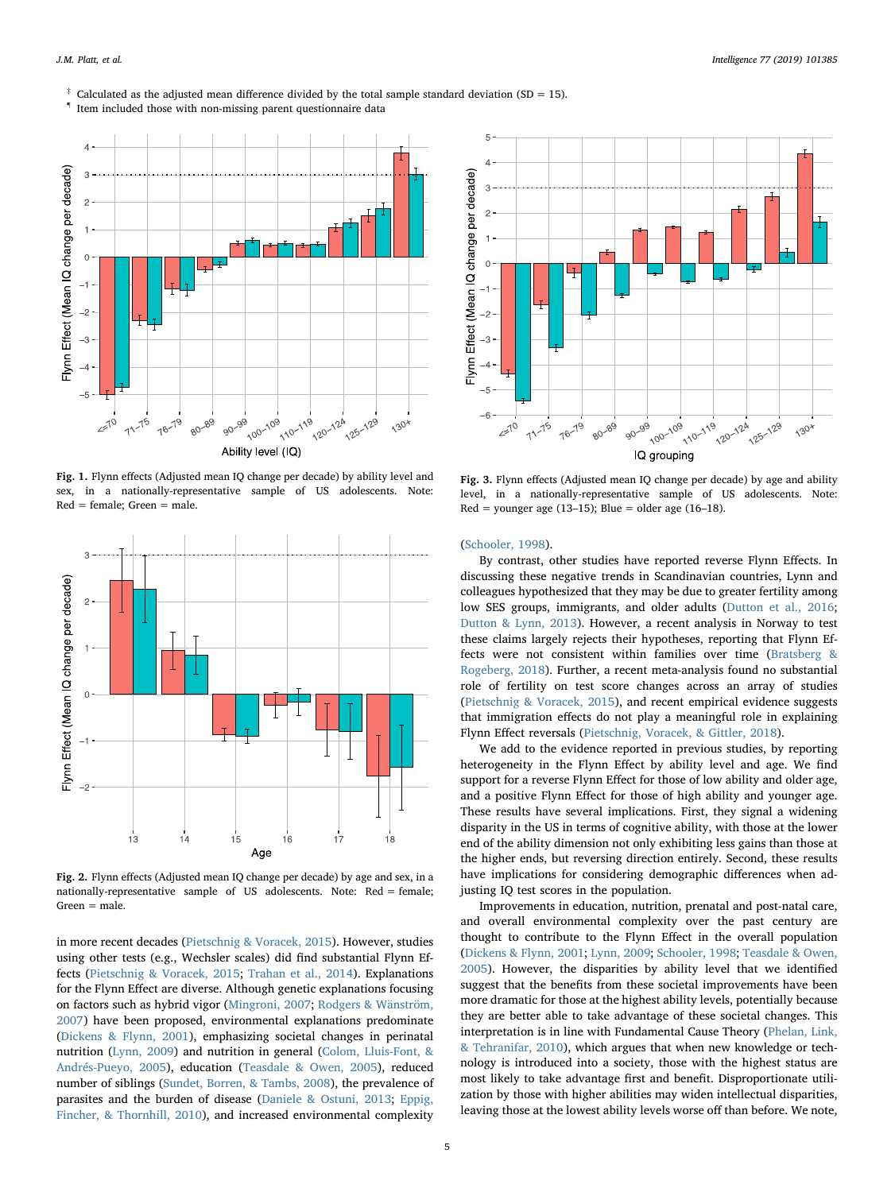<span id="page-4-3"></span> $*$  Calculated as the adjusted mean difference divided by the total sample standard deviation (SD = 15).

<span id="page-4-4"></span> $^\mathsf{q}$  Item included those with non-missing parent questionnaire data

<span id="page-4-0"></span>

Fig. 1. Flynn effects (Adjusted mean IQ change per decade) by ability level and sex, in a nationally-representative sample of US adolescents. Note: Red = female; Green = male.

<span id="page-4-1"></span>

Fig. 2. Flynn effects (Adjusted mean IQ change per decade) by age and sex, in a nationally-representative sample of US adolescents. Note: Red = female;  $Green = male$ .

in more recent decades ([Pietschnig & Voracek, 2015\)](#page-6-3). However, studies using other tests (e.g., Wechsler scales) did find substantial Flynn Effects ([Pietschnig & Voracek, 2015;](#page-6-3) [Trahan et al., 2014\)](#page-7-1). Explanations for the Flynn Effect are diverse. Although genetic explanations focusing on factors such as hybrid vigor [\(Mingroni, 2007](#page-6-24); [Rodgers & Wänström,](#page-7-11) [2007\)](#page-7-11) have been proposed, environmental explanations predominate ([Dickens & Flynn, 2001\)](#page-6-25), emphasizing societal changes in perinatal nutrition ([Lynn, 2009\)](#page-6-26) and nutrition in general ([Colom, Lluis-Font, &](#page-6-27) [Andrés-Pueyo, 2005\)](#page-6-27), education ([Teasdale & Owen, 2005](#page-7-4)), reduced number of siblings ([Sundet, Borren, & Tambs, 2008\)](#page-7-12), the prevalence of parasites and the burden of disease [\(Daniele & Ostuni, 2013;](#page-6-28) [Eppig,](#page-6-29) [Fincher, & Thornhill, 2010](#page-6-29)), and increased environmental complexity

<span id="page-4-2"></span>

Fig. 3. Flynn effects (Adjusted mean IQ change per decade) by age and ability level, in a nationally-representative sample of US adolescents. Note: Red = younger age  $(13-15)$ ; Blue = older age  $(16-18)$ .

([Schooler, 1998\)](#page-7-13).

By contrast, other studies have reported reverse Flynn Effects. In discussing these negative trends in Scandinavian countries, Lynn and colleagues hypothesized that they may be due to greater fertility among low SES groups, immigrants, and older adults ([Dutton et al., 2016](#page-6-7); [Dutton & Lynn, 2013](#page-6-6)). However, a recent analysis in Norway to test these claims largely rejects their hypotheses, reporting that Flynn Effects were not consistent within families over time [\(Bratsberg &](#page-6-5) [Rogeberg, 2018\)](#page-6-5). Further, a recent meta-analysis found no substantial role of fertility on test score changes across an array of studies ([Pietschnig & Voracek, 2015](#page-6-3)), and recent empirical evidence suggests that immigration effects do not play a meaningful role in explaining Flynn Effect reversals ([Pietschnig, Voracek, & Gittler, 2018](#page-6-30)).

We add to the evidence reported in previous studies, by reporting heterogeneity in the Flynn Effect by ability level and age. We find support for a reverse Flynn Effect for those of low ability and older age, and a positive Flynn Effect for those of high ability and younger age. These results have several implications. First, they signal a widening disparity in the US in terms of cognitive ability, with those at the lower end of the ability dimension not only exhibiting less gains than those at the higher ends, but reversing direction entirely. Second, these results have implications for considering demographic differences when adjusting IQ test scores in the population.

Improvements in education, nutrition, prenatal and post-natal care, and overall environmental complexity over the past century are thought to contribute to the Flynn Effect in the overall population ([Dickens & Flynn, 2001](#page-6-25); [Lynn, 2009](#page-6-26); [Schooler, 1998](#page-7-13); [Teasdale & Owen,](#page-7-4) [2005\)](#page-7-4). However, the disparities by ability level that we identified suggest that the benefits from these societal improvements have been more dramatic for those at the highest ability levels, potentially because they are better able to take advantage of these societal changes. This interpretation is in line with Fundamental Cause Theory [\(Phelan, Link,](#page-6-31) [& Tehranifar, 2010\)](#page-6-31), which argues that when new knowledge or technology is introduced into a society, those with the highest status are most likely to take advantage first and benefit. Disproportionate utilization by those with higher abilities may widen intellectual disparities, leaving those at the lowest ability levels worse off than before. We note,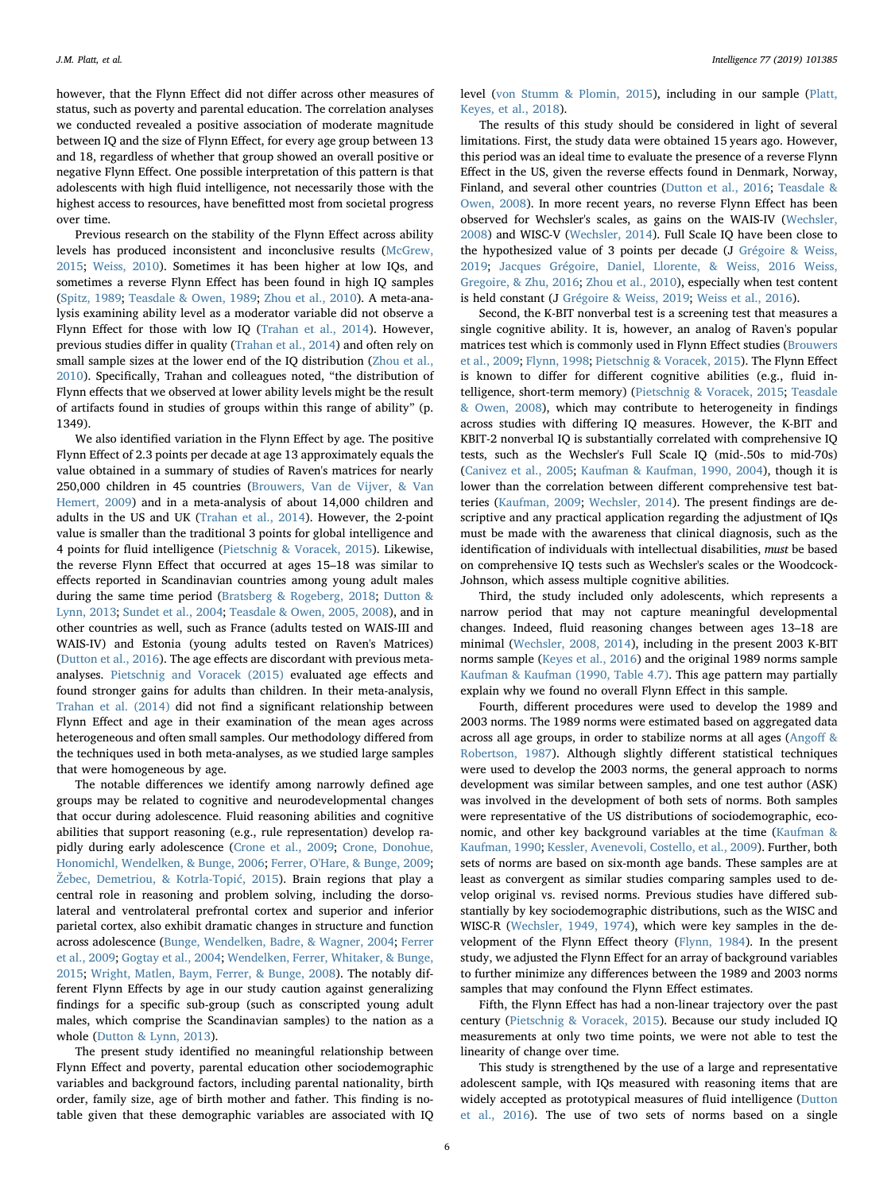however, that the Flynn Effect did not differ across other measures of status, such as poverty and parental education. The correlation analyses we conducted revealed a positive association of moderate magnitude between IQ and the size of Flynn Effect, for every age group between 13 and 18, regardless of whether that group showed an overall positive or negative Flynn Effect. One possible interpretation of this pattern is that adolescents with high fluid intelligence, not necessarily those with the highest access to resources, have benefitted most from societal progress over time.

Previous research on the stability of the Flynn Effect across ability levels has produced inconsistent and inconclusive results ([McGrew,](#page-6-4) [2015;](#page-6-4) [Weiss, 2010](#page-7-8)). Sometimes it has been higher at low IQs, and sometimes a reverse Flynn Effect has been found in high IQ samples ([Spitz, 1989;](#page-7-7) [Teasdale & Owen, 1989;](#page-7-14) [Zhou et al., 2010](#page-7-5)). A meta-analysis examining ability level as a moderator variable did not observe a Flynn Effect for those with low IQ ([Trahan et al., 2014\)](#page-7-1). However, previous studies differ in quality ([Trahan et al., 2014\)](#page-7-1) and often rely on small sample sizes at the lower end of the IQ distribution ([Zhou et al.,](#page-7-5) [2010\)](#page-7-5). Specifically, Trahan and colleagues noted, "the distribution of Flynn effects that we observed at lower ability levels might be the result of artifacts found in studies of groups within this range of ability" (p. 1349).

We also identified variation in the Flynn Effect by age. The positive Flynn Effect of 2.3 points per decade at age 13 approximately equals the value obtained in a summary of studies of Raven's matrices for nearly 250,000 children in 45 countries ([Brouwers, Van de Vijver, & Van](#page-6-32) [Hemert, 2009\)](#page-6-32) and in a meta-analysis of about 14,000 children and adults in the US and UK [\(Trahan et al., 2014](#page-7-1)). However, the 2-point value is smaller than the traditional 3 points for global intelligence and 4 points for fluid intelligence [\(Pietschnig & Voracek, 2015\)](#page-6-3). Likewise, the reverse Flynn Effect that occurred at ages 15–18 was similar to effects reported in Scandinavian countries among young adult males during the same time period ([Bratsberg & Rogeberg, 2018](#page-6-5); [Dutton &](#page-6-6) [Lynn, 2013](#page-6-6); Sundet [et al., 2004](#page-7-3); [Teasdale & Owen, 2005, 2008\)](#page-7-4), and in other countries as well, such as France (adults tested on WAIS-III and WAIS-IV) and Estonia (young adults tested on Raven's Matrices) ([Dutton et al., 2016](#page-6-7)). The age effects are discordant with previous metaanalyses. [Pietschnig and Voracek \(2015\)](#page-6-3) evaluated age effects and found stronger gains for adults than children. In their meta-analysis, [Trahan et al. \(2014\)](#page-7-1) did not find a significant relationship between Flynn Effect and age in their examination of the mean ages across heterogeneous and often small samples. Our methodology differed from the techniques used in both meta-analyses, as we studied large samples that were homogeneous by age.

The notable differences we identify among narrowly defined age groups may be related to cognitive and neurodevelopmental changes that occur during adolescence. Fluid reasoning abilities and cognitive abilities that support reasoning (e.g., rule representation) develop rapidly during early adolescence ([Crone et al., 2009](#page-6-33); [Crone, Donohue,](#page-6-34) [Honomichl, Wendelken, & Bunge, 2006](#page-6-34); [Ferrer, O'Hare, & Bunge, 2009](#page-6-35); Ž[ebec, Demetriou, & Kotrla-Topi](#page-7-15)ć, 2015). Brain regions that play a central role in reasoning and problem solving, including the dorsolateral and ventrolateral prefrontal cortex and superior and inferior parietal cortex, also exhibit dramatic changes in structure and function across adolescence [\(Bunge, Wendelken, Badre, & Wagner, 2004;](#page-6-36) [Ferrer](#page-6-35) [et al., 2009;](#page-6-35) [Gogtay et al., 2004](#page-6-37); [Wendelken, Ferrer, Whitaker, & Bunge,](#page-7-16) [2015;](#page-7-16) [Wright, Matlen, Baym, Ferrer, & Bunge, 2008](#page-7-17)). The notably different Flynn Effects by age in our study caution against generalizing findings for a specific sub-group (such as conscripted young adult males, which comprise the Scandinavian samples) to the nation as a whole ([Dutton & Lynn, 2013](#page-6-6)).

The present study identified no meaningful relationship between Flynn Effect and poverty, parental education other sociodemographic variables and background factors, including parental nationality, birth order, family size, age of birth mother and father. This finding is notable given that these demographic variables are associated with IQ level [\(von Stumm & Plomin, 2015\)](#page-7-18), including in our sample ([Platt,](#page-6-23) [Keyes, et al., 2018\)](#page-6-23).

The results of this study should be considered in light of several limitations. First, the study data were obtained 15 years ago. However, this period was an ideal time to evaluate the presence of a reverse Flynn Effect in the US, given the reverse effects found in Denmark, Norway, Finland, and several other countries [\(Dutton et al., 2016;](#page-6-7) [Teasdale &](#page-7-19) [Owen, 2008](#page-7-19)). In more recent years, no reverse Flynn Effect has been observed for Wechsler's scales, as gains on the WAIS-IV [\(Wechsler,](#page-7-20) [2008\)](#page-7-20) and WISC-V [\(Wechsler, 2014](#page-7-21)). Full Scale IQ have been close to the hypothesized value of 3 points per decade (J [Grégoire & Weiss,](#page-6-38) [2019;](#page-6-38) [Jacques Grégoire, Daniel, Llorente, & Weiss, 2016](#page-6-39) [Weiss,](#page-7-22) [Gregoire, & Zhu, 2016;](#page-7-22) [Zhou et al., 2010\)](#page-7-5), especially when test content is held constant (J [Grégoire & Weiss, 2019](#page-6-38); [Weiss et al., 2016](#page-7-22)).

Second, the K-BIT nonverbal test is a screening test that measures a single cognitive ability. It is, however, an analog of Raven's popular matrices test which is commonly used in Flynn Effect studies [\(Brouwers](#page-6-32) [et al., 2009;](#page-6-32) [Flynn, 1998](#page-6-40); [Pietschnig & Voracek, 2015](#page-6-3)). The Flynn Effect is known to differ for different cognitive abilities (e.g., fluid intelligence, short-term memory) [\(Pietschnig & Voracek, 2015;](#page-6-3) [Teasdale](#page-7-19) [& Owen, 2008\)](#page-7-19), which may contribute to heterogeneity in findings across studies with differing IQ measures. However, the K-BIT and KBIT-2 nonverbal IQ is substantially correlated with comprehensive IQ tests, such as the Wechsler's Full Scale IQ (mid-.50s to mid-70s) ([Canivez et al., 2005;](#page-6-18) [Kaufman & Kaufman, 1990, 2004\)](#page-6-9), though it is lower than the correlation between different comprehensive test batteries ([Kaufman, 2009;](#page-6-14) [Wechsler, 2014\)](#page-7-21). The present findings are descriptive and any practical application regarding the adjustment of IQs must be made with the awareness that clinical diagnosis, such as the identification of individuals with intellectual disabilities, must be based on comprehensive IQ tests such as Wechsler's scales or the Woodcock-Johnson, which assess multiple cognitive abilities.

Third, the study included only adolescents, which represents a narrow period that may not capture meaningful developmental changes. Indeed, fluid reasoning changes between ages 13–18 are minimal ([Wechsler, 2008, 2014](#page-7-20)), including in the present 2003 K-BIT norms sample [\(Keyes et al., 2016](#page-6-21)) and the original 1989 norms sample [Kaufman & Kaufman \(1990, Table 4.7\)](#page-6-9). This age pattern may partially explain why we found no overall Flynn Effect in this sample.

Fourth, different procedures were used to develop the 1989 and 2003 norms. The 1989 norms were estimated based on aggregated data across all age groups, in order to stabilize norms at all ages ([Ango](#page-6-41)ff & [Robertson, 1987](#page-6-41)). Although slightly different statistical techniques were used to develop the 2003 norms, the general approach to norms development was similar between samples, and one test author (ASK) was involved in the development of both sets of norms. Both samples were representative of the US distributions of sociodemographic, economic, and other key background variables at the time ([Kaufman &](#page-6-9) [Kaufman, 1990](#page-6-9); [Kessler, Avenevoli, Costello, et al., 2009](#page-6-10)). Further, both sets of norms are based on six-month age bands. These samples are at least as convergent as similar studies comparing samples used to develop original vs. revised norms. Previous studies have differed substantially by key sociodemographic distributions, such as the WISC and WISC-R [\(Wechsler, 1949, 1974\)](#page-7-23), which were key samples in the development of the Flynn Effect theory [\(Flynn, 1984](#page-6-1)). In the present study, we adjusted the Flynn Effect for an array of background variables to further minimize any differences between the 1989 and 2003 norms samples that may confound the Flynn Effect estimates.

Fifth, the Flynn Effect has had a non-linear trajectory over the past century [\(Pietschnig & Voracek, 2015](#page-6-3)). Because our study included IQ measurements at only two time points, we were not able to test the linearity of change over time.

This study is strengthened by the use of a large and representative adolescent sample, with IQs measured with reasoning items that are widely accepted as prototypical measures of fluid intelligence [\(Dutton](#page-6-7) [et al., 2016\)](#page-6-7). The use of two sets of norms based on a single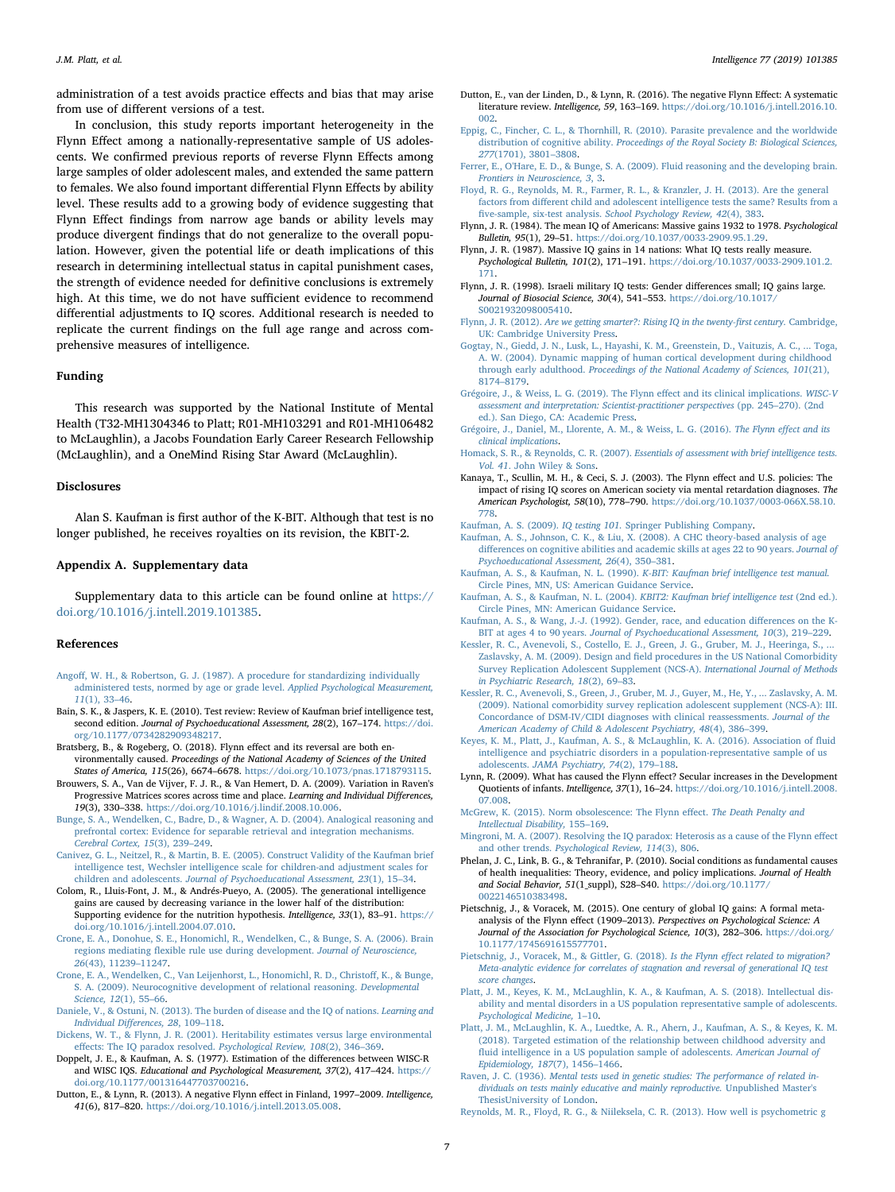administration of a test avoids practice effects and bias that may arise from use of different versions of a test.

In conclusion, this study reports important heterogeneity in the Flynn Effect among a nationally-representative sample of US adolescents. We confirmed previous reports of reverse Flynn Effects among large samples of older adolescent males, and extended the same pattern to females. We also found important differential Flynn Effects by ability level. These results add to a growing body of evidence suggesting that Flynn Effect findings from narrow age bands or ability levels may produce divergent findings that do not generalize to the overall population. However, given the potential life or death implications of this research in determining intellectual status in capital punishment cases, the strength of evidence needed for definitive conclusions is extremely high. At this time, we do not have sufficient evidence to recommend differential adjustments to IQ scores. Additional research is needed to replicate the current findings on the full age range and across comprehensive measures of intelligence.

#### Funding

This research was supported by the National Institute of Mental Health (T32-MH1304346 to Platt; R01-MH103291 and R01-MH106482 to McLaughlin), a Jacobs Foundation Early Career Research Fellowship (McLaughlin), and a OneMind Rising Star Award (McLaughlin).

#### **Disclosures**

Alan S. Kaufman is first author of the K-BIT. Although that test is no longer published, he receives royalties on its revision, the KBIT-2.

# Appendix A. Supplementary data

Supplementary data to this article can be found online at [https://](https://doi.org/10.1016/j.intell.2019.101385) [doi.org/10.1016/j.intell.2019.101385.](https://doi.org/10.1016/j.intell.2019.101385)

#### References

- <span id="page-6-41"></span>Angoff[, W. H., & Robertson, G. J. \(1987\). A procedure for standardizing individually](http://refhub.elsevier.com/S0160-2896(19)30167-9/rf0005) [administered tests, normed by age or grade level.](http://refhub.elsevier.com/S0160-2896(19)30167-9/rf0005) Applied Psychological Measurement, 11[\(1\), 33](http://refhub.elsevier.com/S0160-2896(19)30167-9/rf0005)–46.
- <span id="page-6-17"></span>Bain, S. K., & Jaspers, K. E. (2010). Test review: Review of Kaufman brief intelligence test, second edition. Journal of Psychoeducational Assessment, 28(2), 167-174. [https://doi.](https://doi.org/10.1177/0734282909348217) [org/10.1177/0734282909348217.](https://doi.org/10.1177/0734282909348217)
- <span id="page-6-5"></span>Bratsberg, B., & Rogeberg, O. (2018). Flynn effect and its reversal are both environmentally caused. Proceedings of the National Academy of Sciences of the United States of America, 115(26), 6674–6678. [https://doi.org/10.1073/pnas.1718793115.](https://doi.org/10.1073/pnas.1718793115)
- <span id="page-6-32"></span>Brouwers, S. A., Van de Vijver, F. J. R., & Van Hemert, D. A. (2009). Variation in Raven's Progressive Matrices scores across time and place. Learning and Individual Differences, 19(3), 330–338. [https://doi.org/10.1016/j.lindif.2008.10.006.](https://doi.org/10.1016/j.lindif.2008.10.006)
- <span id="page-6-36"></span>[Bunge, S. A., Wendelken, C., Badre, D., & Wagner, A. D. \(2004\). Analogical reasoning and](http://refhub.elsevier.com/S0160-2896(19)30167-9/rf0025) [prefrontal cortex: Evidence for separable retrieval and integration mechanisms.](http://refhub.elsevier.com/S0160-2896(19)30167-9/rf0025) [Cerebral Cortex, 15](http://refhub.elsevier.com/S0160-2896(19)30167-9/rf0025)(3), 239–249.
- <span id="page-6-18"></span>[Canivez, G. L., Neitzel, R., & Martin, B. E. \(2005\). Construct Validity of the Kaufman brief](http://refhub.elsevier.com/S0160-2896(19)30167-9/rf0030) [intelligence test, Wechsler intelligence scale for children-and adjustment scales for](http://refhub.elsevier.com/S0160-2896(19)30167-9/rf0030) children and adolescents. [Journal of Psychoeducational Assessment, 23](http://refhub.elsevier.com/S0160-2896(19)30167-9/rf0030)(1), 15–34.
- <span id="page-6-27"></span>Colom, R., Lluis-Font, J. M., & Andrés-Pueyo, A. (2005). The generational intelligence gains are caused by decreasing variance in the lower half of the distribution: Supporting evidence for the nutrition hypothesis. Intelligence, 33(1), 83–91. [https://](https://doi.org/10.1016/j.intell.2004.07.010) [doi.org/10.1016/j.intell.2004.07.010](https://doi.org/10.1016/j.intell.2004.07.010).
- <span id="page-6-34"></span>[Crone, E. A., Donohue, S. E., Honomichl, R., Wendelken, C., & Bunge, S. A. \(2006\). Brain](http://refhub.elsevier.com/S0160-2896(19)30167-9/rf0040) regions mediating fl[exible rule use during development.](http://refhub.elsevier.com/S0160-2896(19)30167-9/rf0040) Journal of Neuroscience, 26[\(43\), 11239](http://refhub.elsevier.com/S0160-2896(19)30167-9/rf0040)–11247.
- <span id="page-6-33"></span>[Crone, E. A., Wendelken, C., Van Leijenhorst, L., Honomichl, R. D., Christo](http://refhub.elsevier.com/S0160-2896(19)30167-9/rf0045)ff, K., & Bunge, [S. A. \(2009\). Neurocognitive development of relational reasoning.](http://refhub.elsevier.com/S0160-2896(19)30167-9/rf0045) Developmental [Science, 12](http://refhub.elsevier.com/S0160-2896(19)30167-9/rf0045)(1), 55–66.
- <span id="page-6-28"></span>[Daniele, V., & Ostuni, N. \(2013\). The burden of disease and the IQ of nations.](http://refhub.elsevier.com/S0160-2896(19)30167-9/rf0050) Learning and [Individual Di](http://refhub.elsevier.com/S0160-2896(19)30167-9/rf0050)fferences, 28, 109–118.
- <span id="page-6-25"></span>[Dickens, W. T., & Flynn, J. R. \(2001\). Heritability estimates versus large environmental](http://refhub.elsevier.com/S0160-2896(19)30167-9/rf0055) eff[ects: The IQ paradox resolved.](http://refhub.elsevier.com/S0160-2896(19)30167-9/rf0055) Psychological Review, 108(2), 346–369.
- <span id="page-6-0"></span>Doppelt, J. E., & Kaufman, A. S. (1977). Estimation of the differences between WISC-R and WISC IQS. Educational and Psychological Measurement, 37(2), 417–424. [https://](https://doi.org/10.1177/001316447703700216) [doi.org/10.1177/001316447703700216.](https://doi.org/10.1177/001316447703700216)
- <span id="page-6-6"></span>Dutton, E., & Lynn, R. (2013). A negative Flynn effect in Finland, 1997–2009. Intelligence, 41(6), 817–820. <https://doi.org/10.1016/j.intell.2013.05.008>.
- <span id="page-6-7"></span>Dutton, E., van der Linden, D., & Lynn, R. (2016). The negative Flynn Effect: A systematic literature review. Intelligence, 59, 163–169. [https://doi.org/10.1016/j.intell.2016.10.](https://doi.org/10.1016/j.intell.2016.10.002) [002](https://doi.org/10.1016/j.intell.2016.10.002).
- <span id="page-6-29"></span>[Eppig, C., Fincher, C. L., & Thornhill, R. \(2010\). Parasite prevalence and the worldwide](http://refhub.elsevier.com/S0160-2896(19)30167-9/rf0075) distribution of cognitive ability. [Proceedings of the Royal Society B: Biological Sciences,](http://refhub.elsevier.com/S0160-2896(19)30167-9/rf0075) 277[\(1701\), 3801](http://refhub.elsevier.com/S0160-2896(19)30167-9/rf0075)–3808.
- <span id="page-6-35"></span>[Ferrer, E., O'Hare, E. D., & Bunge, S. A. \(2009\). Fluid reasoning and the developing brain.](http://refhub.elsevier.com/S0160-2896(19)30167-9/rf0080) [Frontiers in Neuroscience, 3](http://refhub.elsevier.com/S0160-2896(19)30167-9/rf0080), 3.
- <span id="page-6-15"></span>[Floyd, R. G., Reynolds, M. R., Farmer, R. L., & Kranzler, J. H. \(2013\). Are the general](http://refhub.elsevier.com/S0160-2896(19)30167-9/rf0085) factors from diff[erent child and adolescent intelligence tests the same? Results from a](http://refhub.elsevier.com/S0160-2896(19)30167-9/rf0085) five-sample, six-test analysis. [School Psychology Review, 42](http://refhub.elsevier.com/S0160-2896(19)30167-9/rf0085)(4), 383.
- <span id="page-6-1"></span>Flynn, J. R. (1984). The mean IQ of Americans: Massive gains 1932 to 1978. Psychological Bulletin, 95(1), 29–51. <https://doi.org/10.1037/0033-2909.95.1.29>.
- <span id="page-6-2"></span>Flynn, J. R. (1987). Massive IQ gains in 14 nations: What IQ tests really measure. Psychological Bulletin, 101(2), 171–191. [https://doi.org/10.1037/0033-2909.101.2.](https://doi.org/10.1037/0033-2909.101.2.171) [171](https://doi.org/10.1037/0033-2909.101.2.171).
- <span id="page-6-40"></span>Flynn, J. R. (1998). Israeli military IQ tests: Gender differences small; IQ gains large. Journal of Biosocial Science, 30(4), 541–553. [https://doi.org/10.1017/](https://doi.org/10.1017/S0021932098005410) [S0021932098005410](https://doi.org/10.1017/S0021932098005410).
- Flynn, J. R. (2012). [Are we getting smarter?: Rising IQ in the twenty-](http://refhub.elsevier.com/S0160-2896(19)30167-9/rf0105)first century. Cambridge, [UK: Cambridge University Press](http://refhub.elsevier.com/S0160-2896(19)30167-9/rf0105).
- <span id="page-6-37"></span>[Gogtay, N., Giedd, J. N., Lusk, L., Hayashi, K. M., Greenstein, D., Vaituzis, A. C., ... Toga,](http://refhub.elsevier.com/S0160-2896(19)30167-9/rf0110) [A. W. \(2004\). Dynamic mapping of human cortical development during childhood](http://refhub.elsevier.com/S0160-2896(19)30167-9/rf0110) through early adulthood. [Proceedings of the National Academy of Sciences, 101](http://refhub.elsevier.com/S0160-2896(19)30167-9/rf0110)(21), 8174–[8179](http://refhub.elsevier.com/S0160-2896(19)30167-9/rf0110).
- <span id="page-6-38"></span>[Grégoire, J., & Weiss, L. G. \(2019\). The Flynn e](http://refhub.elsevier.com/S0160-2896(19)30167-9/rf0115)ffect and its clinical implications. WISC-V assessment [and interpretation: Scientist-practitioner perspectives](http://refhub.elsevier.com/S0160-2896(19)30167-9/rf0115) (pp. 245–270). (2nd [ed.\). San Diego, CA: Academic Press](http://refhub.elsevier.com/S0160-2896(19)30167-9/rf0115).
- <span id="page-6-39"></span>[Grégoire, J., Daniel, M., Llorente, A. M., & Weiss, L. G. \(2016\).](http://refhub.elsevier.com/S0160-2896(19)30167-9/rf0120) The Flynn effect and its [clinical implications](http://refhub.elsevier.com/S0160-2896(19)30167-9/rf0120).
- <span id="page-6-19"></span>Homack, S. R., & Reynolds, C. R. (2007). [Essentials of assessment with brief intelligence tests.](http://refhub.elsevier.com/S0160-2896(19)30167-9/rf0125) Vol. 41[. John Wiley & Sons](http://refhub.elsevier.com/S0160-2896(19)30167-9/rf0125).
- <span id="page-6-8"></span>Kanaya, T., Scullin, M. H., & Ceci, S. J. (2003). The Flynn effect and U.S. policies: The impact of rising IQ scores on American society via mental retardation diagnoses. The American Psychologist, 58(10), 778–790. [https://doi.org/10.1037/0003-066X.58.10.](https://doi.org/10.1037/0003-066X.58.10.778) [778](https://doi.org/10.1037/0003-066X.58.10.778).
- 
- <span id="page-6-20"></span><span id="page-6-14"></span>Kaufman, A. S. (2009). IQ testing 101. [Springer Publishing Company](http://refhub.elsevier.com/S0160-2896(19)30167-9/rf0135). [Kaufman, A. S., Johnson, C. K., & Liu, X. \(2008\). A CHC theory-based analysis of age](http://refhub.elsevier.com/S0160-2896(19)30167-9/rf0140) diff[erences on cognitive abilities and academic skills at ages 22 to 90 years.](http://refhub.elsevier.com/S0160-2896(19)30167-9/rf0140) Journal of [Psychoeducational Assessment, 26](http://refhub.elsevier.com/S0160-2896(19)30167-9/rf0140)(4), 350–381.
- <span id="page-6-9"></span>Kaufman, A. S., & Kaufman, N. L. (1990). [K-BIT: Kaufman brief intelligence test manual.](http://refhub.elsevier.com/S0160-2896(19)30167-9/rf0145) [Circle Pines, MN, US: American Guidance Service](http://refhub.elsevier.com/S0160-2896(19)30167-9/rf0145).
- [Kaufman, A. S., & Kaufman, N. L. \(2004\).](http://refhub.elsevier.com/S0160-2896(19)30167-9/rf0150) KBIT2: Kaufman brief intelligence test (2nd ed.). [Circle Pines, MN: American Guidance Service](http://refhub.elsevier.com/S0160-2896(19)30167-9/rf0150).
- <span id="page-6-12"></span>[Kaufman, A. S., & Wang, J.-J. \(1992\). Gender, race, and education di](http://refhub.elsevier.com/S0160-2896(19)30167-9/rf0155)fferences on the K-BIT at ages 4 to 90 years. [Journal of Psychoeducational Assessment, 10](http://refhub.elsevier.com/S0160-2896(19)30167-9/rf0155)(3), 219–229.
- <span id="page-6-10"></span>[Kessler, R. C., Avenevoli, S., Costello, E. J., Green, J. G., Gruber, M. J., Heeringa, S., ...](http://refhub.elsevier.com/S0160-2896(19)30167-9/rf0165) Zaslavsky, A. M. (2009). Design and fi[eld procedures in the US National Comorbidity](http://refhub.elsevier.com/S0160-2896(19)30167-9/rf0165) [Survey Replication Adolescent Supplement \(NCS-A\).](http://refhub.elsevier.com/S0160-2896(19)30167-9/rf0165) International Journal of Methods [in Psychiatric Research, 18](http://refhub.elsevier.com/S0160-2896(19)30167-9/rf0165)(2), 69–83.
- <span id="page-6-11"></span>[Kessler, R. C., Avenevoli, S., Green, J., Gruber, M. J., Guyer, M., He, Y., ... Zaslavsky, A. M.](http://refhub.elsevier.com/S0160-2896(19)30167-9/rf0170) [\(2009\). National comorbidity survey replication adolescent supplement \(NCS-A\): III.](http://refhub.elsevier.com/S0160-2896(19)30167-9/rf0170) [Concordance of DSM-IV/CIDI diagnoses with clinical reassessments.](http://refhub.elsevier.com/S0160-2896(19)30167-9/rf0170) Journal of the [American Academy of Child & Adolescent Psychiatry, 48](http://refhub.elsevier.com/S0160-2896(19)30167-9/rf0170)(4), 386–399.
- <span id="page-6-21"></span>[Keyes, K. M., Platt, J., Kaufman, A. S., & McLaughlin, K. A. \(2016\). Association of](http://refhub.elsevier.com/S0160-2896(19)30167-9/rf0175) fluid [intelligence and psychiatric disorders in a population-representative sample of us](http://refhub.elsevier.com/S0160-2896(19)30167-9/rf0175) adolescents. [JAMA Psychiatry, 74](http://refhub.elsevier.com/S0160-2896(19)30167-9/rf0175)(2), 179–188.
- <span id="page-6-26"></span>Lynn, R. (2009). What has caused the Flynn effect? Secular increases in the Development Quotients of infants. Intelligence, 37(1), 16–24. [https://doi.org/10.1016/j.intell.2008.](https://doi.org/10.1016/j.intell.2008.07.008) [07.008](https://doi.org/10.1016/j.intell.2008.07.008).
- <span id="page-6-4"></span>McGrew, [K. \(2015\). Norm obsolescence: The Flynn e](http://refhub.elsevier.com/S0160-2896(19)30167-9/rf0185)ffect. The Death Penalty and [Intellectual Disability,](http://refhub.elsevier.com/S0160-2896(19)30167-9/rf0185) 155–169.

<span id="page-6-24"></span>[Mingroni, M. A. \(2007\). Resolving the IQ paradox: Heterosis as a cause of the Flynn e](http://refhub.elsevier.com/S0160-2896(19)30167-9/rf0190)ffect and other trends. [Psychological Review, 114](http://refhub.elsevier.com/S0160-2896(19)30167-9/rf0190)(3), 806.

- <span id="page-6-31"></span>Phelan, J. C., Link, B. G., & Tehranifar, P. (2010). Social conditions as fundamental causes of health inequalities: Theory, evidence, and policy implications. Journal of Health and Social Behavior, 51(1\_suppl), S28–S40. [https://doi.org/10.1177/](https://doi.org/10.1177/0022146510383498) [0022146510383498.](https://doi.org/10.1177/0022146510383498)
- <span id="page-6-3"></span>Pietschnig, J., & Voracek, M. (2015). One century of global IQ gains: A formal metaanalysis of the Flynn effect (1909–2013). Perspectives on Psychological Science: A Journal of the Association for Psychological Science, 10(3), 282–306. [https://doi.org/](https://doi.org/10.1177/1745691615577701) [10.1177/1745691615577701](https://doi.org/10.1177/1745691615577701).
- <span id="page-6-30"></span>[Pietschnig, J., Voracek, M., & Gittler, G. \(2018\).](http://refhub.elsevier.com/S0160-2896(19)30167-9/rf0205) Is the Flynn effect related to migration? [Meta-analytic evidence for correlates of stagnation and reversal of generational IQ test](http://refhub.elsevier.com/S0160-2896(19)30167-9/rf0205) [score changes](http://refhub.elsevier.com/S0160-2896(19)30167-9/rf0205).
- <span id="page-6-23"></span>[Platt, J. M., Keyes, K. M., McLaughlin, K. A., & Kaufman, A. S. \(2018\). Intellectual dis](http://refhub.elsevier.com/S0160-2896(19)30167-9/rf0210)[ability and mental disorders in a US population representative sample of adolescents.](http://refhub.elsevier.com/S0160-2896(19)30167-9/rf0210) [Psychological Medicine,](http://refhub.elsevier.com/S0160-2896(19)30167-9/rf0210) 1–10.
- <span id="page-6-22"></span>[Platt, J. M., McLaughlin, K. A., Luedtke, A. R., Ahern, J., Kaufman, A. S., & Keyes, K. M.](http://refhub.elsevier.com/S0160-2896(19)30167-9/rf0215) [\(2018\). Targeted estimation of the relationship between childhood adversity and](http://refhub.elsevier.com/S0160-2896(19)30167-9/rf0215) fl[uid intelligence in a US population sample of adolescents.](http://refhub.elsevier.com/S0160-2896(19)30167-9/rf0215) American Journal of [Epidemiology, 187](http://refhub.elsevier.com/S0160-2896(19)30167-9/rf0215)(7), 1456–1466.
- <span id="page-6-13"></span>Raven, J. C. (1936). [Mental tests used in genetic studies: The performance of related in](http://refhub.elsevier.com/S0160-2896(19)30167-9/rf0220)[dividuals on tests mainly educative and mainly reproductive.](http://refhub.elsevier.com/S0160-2896(19)30167-9/rf0220) Unpublished Master's [ThesisUniversity of London](http://refhub.elsevier.com/S0160-2896(19)30167-9/rf0220).
- <span id="page-6-16"></span>[Reynolds, M. R., Floyd, R. G., & Niileksela, C. R. \(2013\). How well is psychometric g](http://refhub.elsevier.com/S0160-2896(19)30167-9/rf0225)